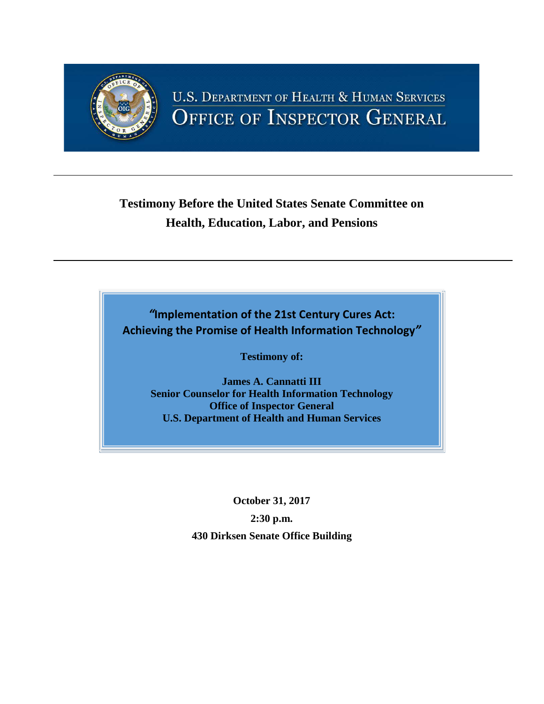

# **Testimony Before the United States Senate Committee on Health, Education, Labor, and Pensions**

*"***Implementation of the 21st Century Cures Act: Achieving the Promise of Health Information Technology***"* 

**Testimony of:**

**James A. Cannatti III Senior Counselor for Health Information Technology Office of Inspector General U.S. Department of Health and Human Services**

> **October 31, 2017 2:30 p.m. 430 Dirksen Senate Office Building**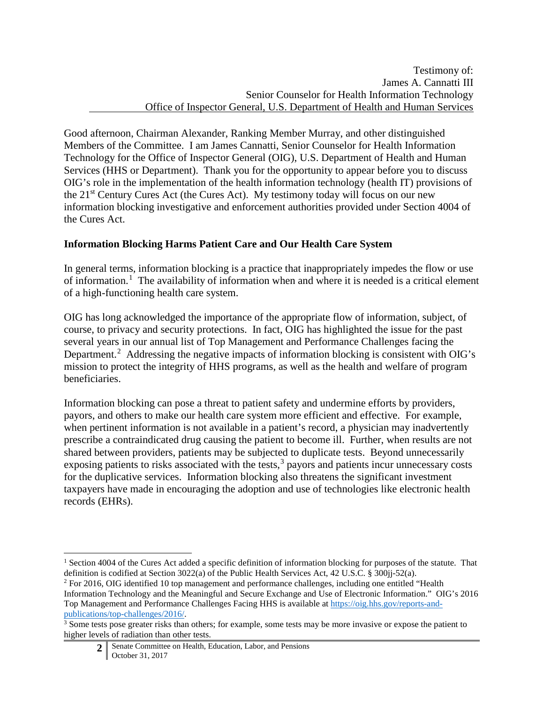Good afternoon, Chairman Alexander, Ranking Member Murray, and other distinguished Members of the Committee. I am James Cannatti, Senior Counselor for Health Information Technology for the Office of Inspector General (OIG), U.S. Department of Health and Human Services (HHS or Department). Thank you for the opportunity to appear before you to discuss OIG's role in the implementation of the health information technology (health IT) provisions of the 21st Century Cures Act (the Cures Act). My testimony today will focus on our new information blocking investigative and enforcement authorities provided under Section 4004 of the Cures Act.

### **Information Blocking Harms Patient Care and Our Health Care System**

In general terms, information blocking is a practice that inappropriately impedes the flow or use of information.<sup>[1](#page-1-0)</sup> The availability of information when and where it is needed is a critical element of a high-functioning health care system.

OIG has long acknowledged the importance of the appropriate flow of information, subject, of course, to privacy and security protections. In fact, OIG has highlighted the issue for the past several years in our annual list of Top Management and Performance Challenges facing the Department.<sup>[2](#page-1-1)</sup> Addressing the negative impacts of information blocking is consistent with OIG's mission to protect the integrity of HHS programs, as well as the health and welfare of program beneficiaries.

Information blocking can pose a threat to patient safety and undermine efforts by providers, payors, and others to make our health care system more efficient and effective. For example, when pertinent information is not available in a patient's record, a physician may inadvertently prescribe a contraindicated drug causing the patient to become ill. Further, when results are not shared between providers, patients may be subjected to duplicate tests. Beyond unnecessarily exposing patients to risks associated with the tests,<sup>[3](#page-1-2)</sup> payors and patients incur unnecessary costs for the duplicative services. Information blocking also threatens the significant investment taxpayers have made in encouraging the adoption and use of technologies like electronic health records (EHRs).

<span id="page-1-1"></span><sup>2</sup> For 2016, OIG identified 10 top management and performance challenges, including one entitled "Health Information Technology and the Meaningful and Secure Exchange and Use of Electronic Information." OIG's 2016 Top Management and Performance Challenges Facing HHS is available at [https://oig.hhs.gov/reports-and](https://oig.hhs.gov/reports-and-publications/top-challenges/2016/)[publications/top-challenges/2016/.](https://oig.hhs.gov/reports-and-publications/top-challenges/2016/)

 $\overline{\phantom{a}}$ 

<span id="page-1-0"></span><sup>&</sup>lt;sup>1</sup> Section 4004 of the Cures Act added a specific definition of information blocking for purposes of the statute. That definition is codified at Section 3022(a) of the Public Health Services Act, 42 U.S.C. § 300jj-52(a).

<span id="page-1-2"></span><sup>&</sup>lt;sup>3</sup> Some tests pose greater risks than others; for example, some tests may be more invasive or expose the patient to higher levels of radiation than other tests.

<sup>2</sup> Senate Committee on Health, Education, Labor, and Pensions October 31, 2017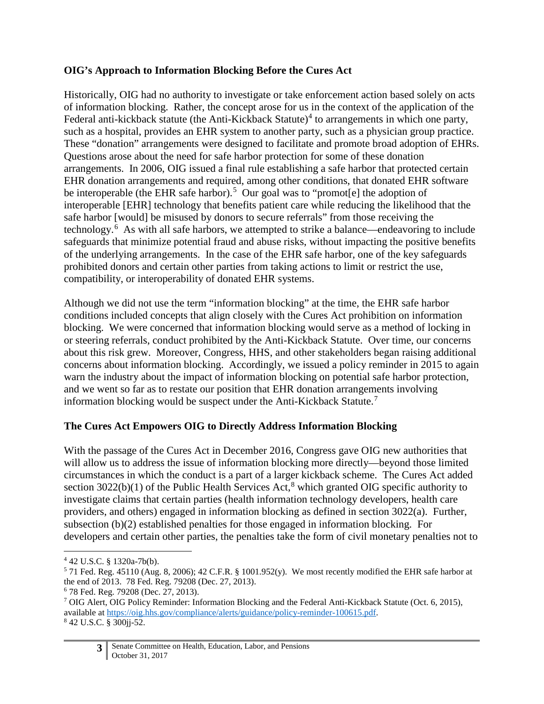#### **OIG's Approach to Information Blocking Before the Cures Act**

Historically, OIG had no authority to investigate or take enforcement action based solely on acts of information blocking. Rather, the concept arose for us in the context of the application of the Federal anti-kickback statute (the Anti-Kickback Statute)<sup>[4](#page-2-0)</sup> to arrangements in which one party, such as a hospital, provides an EHR system to another party, such as a physician group practice. These "donation" arrangements were designed to facilitate and promote broad adoption of EHRs. Questions arose about the need for safe harbor protection for some of these donation arrangements. In 2006, OIG issued a final rule establishing a safe harbor that protected certain EHR donation arrangements and required, among other conditions, that donated EHR software be interoperable (the EHR safe harbor).<sup>[5](#page-2-1)</sup> Our goal was to "promot[e] the adoption of interoperable [EHR] technology that benefits patient care while reducing the likelihood that the safe harbor [would] be misused by donors to secure referrals" from those receiving the technology.<sup>[6](#page-2-2)</sup> As with all safe harbors, we attempted to strike a balance—endeavoring to include safeguards that minimize potential fraud and abuse risks, without impacting the positive benefits of the underlying arrangements. In the case of the EHR safe harbor, one of the key safeguards prohibited donors and certain other parties from taking actions to limit or restrict the use, compatibility, or interoperability of donated EHR systems.

Although we did not use the term "information blocking" at the time, the EHR safe harbor conditions included concepts that align closely with the Cures Act prohibition on information blocking. We were concerned that information blocking would serve as a method of locking in or steering referrals, conduct prohibited by the Anti-Kickback Statute. Over time, our concerns about this risk grew. Moreover, Congress, HHS, and other stakeholders began raising additional concerns about information blocking. Accordingly, we issued a policy reminder in 2015 to again warn the industry about the impact of information blocking on potential safe harbor protection, and we went so far as to restate our position that EHR donation arrangements involving information blocking would be suspect under the Anti-Kickback Statute.[7](#page-2-3)

### **The Cures Act Empowers OIG to Directly Address Information Blocking**

With the passage of the Cures Act in December 2016, Congress gave OIG new authorities that will allow us to address the issue of information blocking more directly—beyond those limited circumstances in which the conduct is a part of a larger kickback scheme. The Cures Act added section  $3022(b)(1)$  of the Public Health Services Act,<sup>[8](#page-2-4)</sup> which granted OIG specific authority to investigate claims that certain parties (health information technology developers, health care providers, and others) engaged in information blocking as defined in section 3022(a). Further, subsection (b)(2) established penalties for those engaged in information blocking. For developers and certain other parties, the penalties take the form of civil monetary penalties not to

<span id="page-2-0"></span>l <sup>4</sup> 42 U.S.C. § 1320a-7b(b).

<span id="page-2-1"></span><sup>5</sup> 71 Fed. Reg. 45110 (Aug. 8, 2006); 42 C.F.R. § 1001.952(y). We most recently modified the EHR safe harbor at the end of 2013. 78 Fed. Reg. 79208 (Dec. 27, 2013). 6 78 Fed. Reg. 79208 (Dec. 27, 2013).

<span id="page-2-2"></span>

<span id="page-2-4"></span><span id="page-2-3"></span><sup>7</sup> OIG Alert, OIG Policy Reminder: Information Blocking and the Federal Anti-Kickback Statute (Oct. 6, 2015), available at [https://oig.hhs.gov/compliance/alerts/guidance/policy-reminder-100615.pdf.](https://oig.hhs.gov/compliance/alerts/guidance/policy-reminder-100615.pdf) <sup>8</sup> 42 U.S.C. § 300jj-52.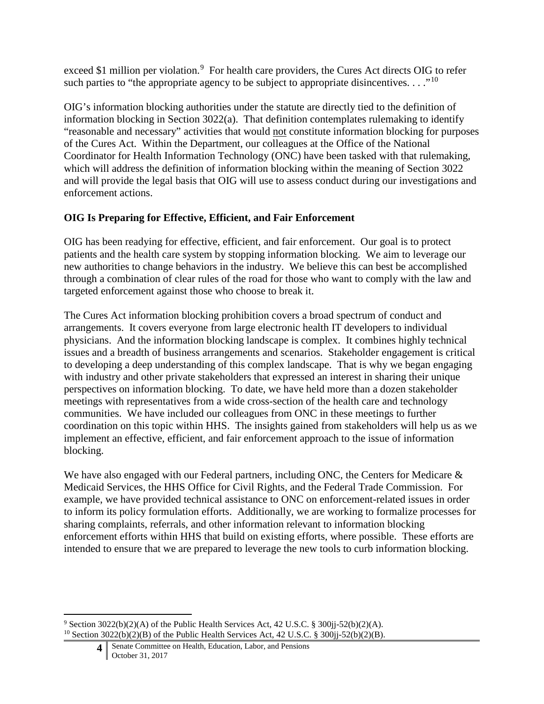exceed \$1 million per violation.<sup>[9](#page-3-0)</sup> For health care providers, the Cures Act directs OIG to refer such parties to "the appropriate agency to be subject to appropriate disincentives.  $\dots$ "<sup>[10](#page-3-1)</sup>

OIG's information blocking authorities under the statute are directly tied to the definition of information blocking in Section 3022(a). That definition contemplates rulemaking to identify "reasonable and necessary" activities that would not constitute information blocking for purposes of the Cures Act. Within the Department, our colleagues at the Office of the National Coordinator for Health Information Technology (ONC) have been tasked with that rulemaking, which will address the definition of information blocking within the meaning of Section 3022 and will provide the legal basis that OIG will use to assess conduct during our investigations and enforcement actions.

## **OIG Is Preparing for Effective, Efficient, and Fair Enforcement**

OIG has been readying for effective, efficient, and fair enforcement. Our goal is to protect patients and the health care system by stopping information blocking. We aim to leverage our new authorities to change behaviors in the industry. We believe this can best be accomplished through a combination of clear rules of the road for those who want to comply with the law and targeted enforcement against those who choose to break it.

The Cures Act information blocking prohibition covers a broad spectrum of conduct and arrangements. It covers everyone from large electronic health IT developers to individual physicians. And the information blocking landscape is complex. It combines highly technical issues and a breadth of business arrangements and scenarios. Stakeholder engagement is critical to developing a deep understanding of this complex landscape. That is why we began engaging with industry and other private stakeholders that expressed an interest in sharing their unique perspectives on information blocking. To date, we have held more than a dozen stakeholder meetings with representatives from a wide cross-section of the health care and technology communities. We have included our colleagues from ONC in these meetings to further coordination on this topic within HHS. The insights gained from stakeholders will help us as we implement an effective, efficient, and fair enforcement approach to the issue of information blocking.

We have also engaged with our Federal partners, including ONC, the Centers for Medicare & Medicaid Services, the HHS Office for Civil Rights, and the Federal Trade Commission. For example, we have provided technical assistance to ONC on enforcement-related issues in order to inform its policy formulation efforts. Additionally, we are working to formalize processes for sharing complaints, referrals, and other information relevant to information blocking enforcement efforts within HHS that build on existing efforts, where possible. These efforts are intended to ensure that we are prepared to leverage the new tools to curb information blocking.

<span id="page-3-1"></span><span id="page-3-0"></span> $\overline{\phantom{a}}$  $9$  Section 3022(b)(2)(A) of the Public Health Services Act, 42 U.S.C. § 300 $(i-52(b)(2)(A)$ . <sup>10</sup> Section 3022(b)(2)(B) of the Public Health Services Act, 42 U.S.C. § 300 $j$  $j$ -52(b)(2)(B).